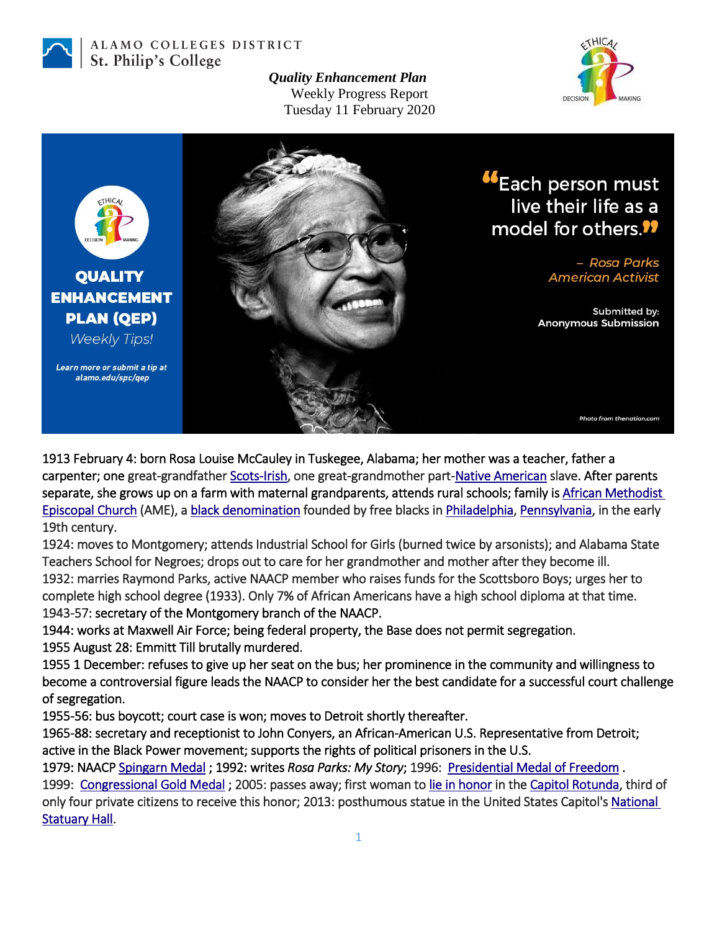

ALAMO COLLEGES DISTRICT St. Philip's College

> *Quality Enhancement Plan* Weekly Progress Report Tuesday 11 February 2020





1913 February 4: born Rosa Louise McCauley in Tuskegee, Alabama; her mother was a teacher, father a carpenter; one great-grandfather [Scots-Irish,](https://en.wikipedia.org/wiki/Scotch-Irish_Americans) one great-grandmother part[-Native American](https://en.wikipedia.org/wiki/Slavery_among_Native_Americans_in_the_United_States) slave. After parents separate, she grows up on a farm with maternal grandparents, attends rural schools; family is African Methodist [Episcopal Church](https://en.wikipedia.org/wiki/African_Methodist_Episcopal_Church) (AME), [a black denomination](https://en.wikipedia.org/wiki/Black_church) founded by free blacks i[n Philadelphia,](https://en.wikipedia.org/wiki/Philadelphia) [Pennsylvania,](https://en.wikipedia.org/wiki/Pennsylvania) in the early 19th century.

1924: moves to Montgomery; attends Industrial School for Girls (burned twice by arsonists); and Alabama State Teachers School for Negroes; drops out to care for her grandmother and mother after they become ill. 1932: marries Raymond Parks, active NAACP member who raises funds for the Scottsboro Boys; urges her to complete high school degree (1933). Only 7% of African Americans have a high school diploma at that time. 1943-57: secretary of the Montgomery branch of the NAACP.

1944: works at Maxwell Air Force; being federal property, the Base does not permit segregation. 1955 August 28: Emmitt Till brutally murdered.

1955 1 December: refuses to give up her seat on the bus; her prominence in the community and willingness to become a controversial figure leads the NAACP to consider her the best candidate for a successful court challenge of segregation.

1955-56: bus boycott; court case is won; moves to Detroit shortly thereafter.

1965-88: secretary and receptionist to John Conyers, an African-American U.S. Representative from Detroit; active in the Black Power movement; supports the rights of political prisoners in the U.S.

1979: NAACP [Spingarn Medal](https://en.wikipedia.org/wiki/Spingarn_Medal) ; 1992: writes *Rosa Parks: My Story*; 1996: [Presidential Medal of Freedom](https://en.wikipedia.org/wiki/Presidential_Medal_of_Freedom) . 1999: Congressional Gold Medal; 2005: passes away; first woman to [lie in honor](https://en.wikipedia.org/wiki/State_funerals_in_the_United_States#List_of_lying_in_state_and_honor_recipients) in th[e Capitol Rotunda,](https://en.wikipedia.org/wiki/Capitol_Rotunda) third of only four private citizens to receive this honor; 2013: posthumous statue in the United States Capitol's National [Statuary Hall.](https://en.wikipedia.org/wiki/National_Statuary_Hall)